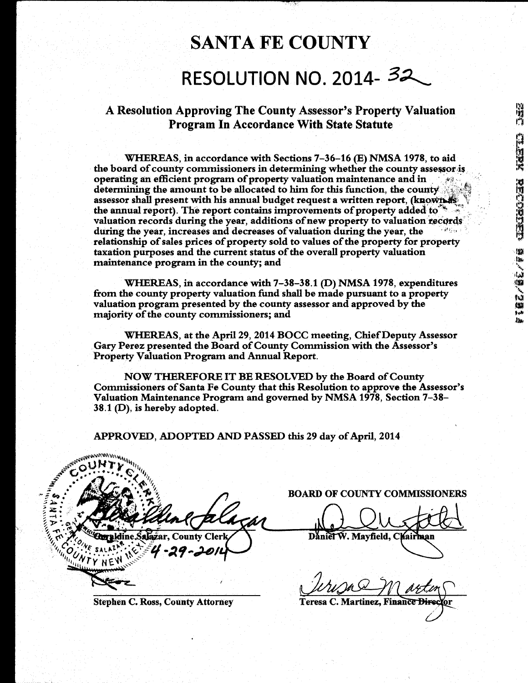A Resolution Approving The County Assessor's Property Valuation Program In Accordance With State Statute

WHEREAS, in accordance with Sections 7-36-16 (E) NMSA 1978, to aid the board of county commissioners in determining whether the county assessor is operating an efficient program of property valuation maintenance and in determining the amount to be allocated to him for this function, the coumy assessor shall present with his annual budget request a written report, (known as the annual report). The report contains improvements of property added to valuation records during the year, additions of new property to valuation records during the year, increases and decreases of valuation during the year, the relationship of sales prices of property sold to values of the property for property taxation purposes and the current status of the overall property valuation maintenance program in the county; and

WHEREAS, in accordance with 7-38-38.1 (D) NMSA 1978, expenditures from the county property valuation fund shall be made pursuant to a property valuation program presented by the county assessor and approved by the majority of the county commissioners; and

WHEREAS, at the April 29, 2014 BOCC meeting, ChiefDeputy Assessor Gary Perez presented the Board of County Commission with the Assessor's Property Valuation Program and Annual Report.

NOW THEREFORE IT BE RESOLVED by the Board of County Commissioners of Santa Fe County that this Resolution to approve the Assessor's Valuation Maintenance Program and governed by NMSA 1978, Section 7-38- 38.1 (D), is hereby adopted.

APPROVED, ADOPTED AND PASSED this 29 day of April, 2014

**ANTICATES** Gg OUWTY NE

Stephen C. Ross, County Attorney

BOARD OF COUNTY COMMISSIONERS

Daniel W. Mayfield, Chairman

Teresa C. Martinez, Finance Director